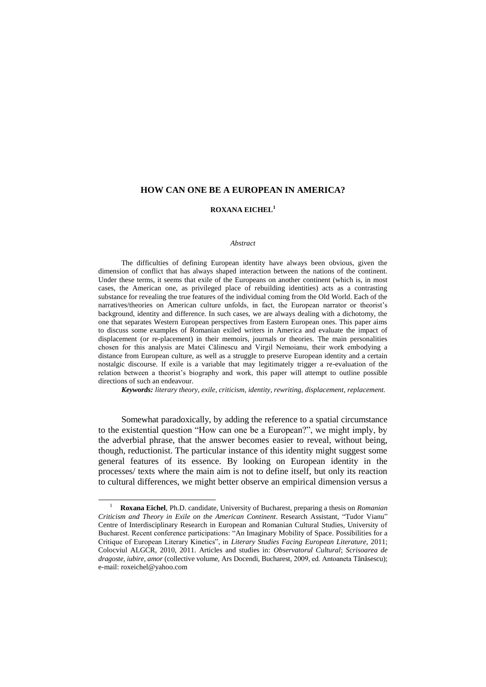## **HOW CAN ONE BE A EUROPEAN IN AMERICA?**

## **ROXANA EICHEL<sup>1</sup>**

## *Abstract*

The difficulties of defining European identity have always been obvious, given the dimension of conflict that has always shaped interaction between the nations of the continent. Under these terms, it seems that exile of the Europeans on another continent (which is, in most cases, the American one, as privileged place of rebuilding identities) acts as a contrasting substance for revealing the true features of the individual coming from the Old World. Each of the narratives/theories on American culture unfolds, in fact, the European narrator or theorist's background, identity and difference. In such cases, we are always dealing with a dichotomy, the one that separates Western European perspectives from Eastern European ones. This paper aims to discuss some examples of Romanian exiled writers in America and evaluate the impact of displacement (or re-placement) in their memoirs, journals or theories. The main personalities chosen for this analysis are Matei Călinescu and Virgil Nemoianu, their work embodying a distance from European culture, as well as a struggle to preserve European identity and a certain nostalgic discourse. If exile is a variable that may legitimately trigger a re-evaluation of the relation between a theorist"s biography and work, this paper will attempt to outline possible directions of such an endeavour.

*Keywords: literary theory, exile, criticism, identity, rewriting, displacement, replacement.*

Somewhat paradoxically, by adding the reference to a spatial circumstance to the existential question "How can one be a European?", we might imply, by the adverbial phrase, that the answer becomes easier to reveal, without being, though, reductionist. The particular instance of this identity might suggest some general features of its essence. By looking on European identity in the processes/ texts where the main aim is not to define itself, but only its reaction to cultural differences, we might better observe an empirical dimension versus a

 $\overline{a}$ 

<sup>1</sup> **Roxana Eichel**, Ph.D. candidate, University of Bucharest, preparing a thesis on *Romanian Criticism and Theory in Exile on the American Continent*. Research Assistant, "Tudor Vianu" Centre of Interdisciplinary Research in European and Romanian Cultural Studies, University of Bucharest. Recent conference participations: "An Imaginary Mobility of Space. Possibilities for a Critique of European Literary Kinetics", in *Literary Studies Facing European Literature,* 2011; Colocviul ALGCR, 2010, 2011. Articles and studies in: *Observatorul Cultural*; *Scrisoarea de dragoste, iubire, amor* (collective volume, Ars Docendi, Bucharest, 2009, ed. Antoaneta Tănăsescu); e-mail: [roxeichel@yahoo.com](mailto:roxeichel@yahoo.com)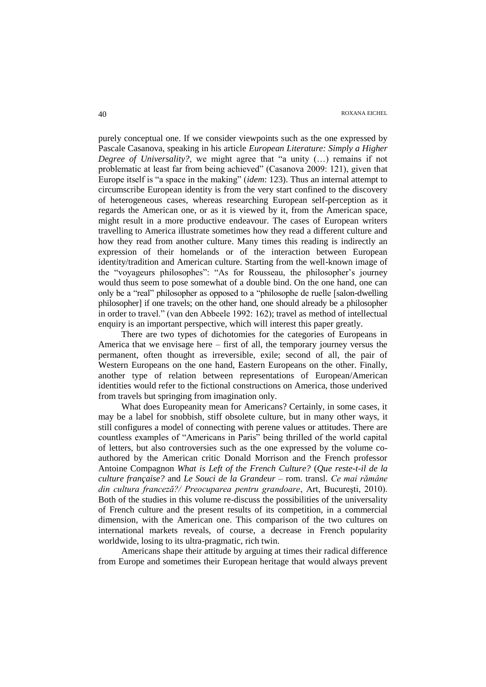purely conceptual one. If we consider viewpoints such as the one expressed by Pascale Casanova, speaking in his article *European Literature: Simply a Higher Degree of Universality?*, we might agree that "a unity (…) remains if not problematic at least far from being achieved" (Casanova 2009: 121), given that Europe itself is "a space in the making" (*idem*: 123). Thus an internal attempt to circumscribe European identity is from the very start confined to the discovery of heterogeneous cases, whereas researching European self-perception as it regards the American one, or as it is viewed by it, from the American space, might result in a more productive endeavour. The cases of European writers travelling to America illustrate sometimes how they read a different culture and how they read from another culture. Many times this reading is indirectly an expression of their homelands or of the interaction between European identity/tradition and American culture. Starting from the well-known image of the "voyageurs philosophes": "As for Rousseau, the philosopher"s journey would thus seem to pose somewhat of a double bind. On the one hand, one can only be a "real" philosopher as opposed to a "philosophe de ruelle [salon-dwelling philosopher] if one travels; on the other hand, one should already be a philosopher in order to travel." (van den Abbeele 1992: 162); travel as method of intellectual enquiry is an important perspective, which will interest this paper greatly.

There are two types of dichotomies for the categories of Europeans in America that we envisage here – first of all, the temporary journey versus the permanent, often thought as irreversible, exile; second of all, the pair of Western Europeans on the one hand, Eastern Europeans on the other. Finally, another type of relation between representations of European/American identities would refer to the fictional constructions on America, those underived from travels but springing from imagination only.

What does Europeanity mean for Americans? Certainly, in some cases, it may be a label for snobbish, stiff obsolete culture, but in many other ways, it still configures a model of connecting with perene values or attitudes. There are countless examples of "Americans in Paris" being thrilled of the world capital of letters, but also controversies such as the one expressed by the volume coauthored by the American critic Donald Morrison and the French professor Antoine Compagnon *What is Left of the French Culture?* (*Que reste-t-il de la culture française?* and *Le Souci de la Grandeur* – rom. transl. *Ce mai rămâne din cultura franceză?/ Preocuparea pentru grandoare*, Art, Bucureşti, 2010). Both of the studies in this volume re-discuss the possibilities of the universality of French culture and the present results of its competition, in a commercial dimension, with the American one. This comparison of the two cultures on international markets reveals, of course, a decrease in French popularity worldwide, losing to its ultra-pragmatic, rich twin.

Americans shape their attitude by arguing at times their radical difference from Europe and sometimes their European heritage that would always prevent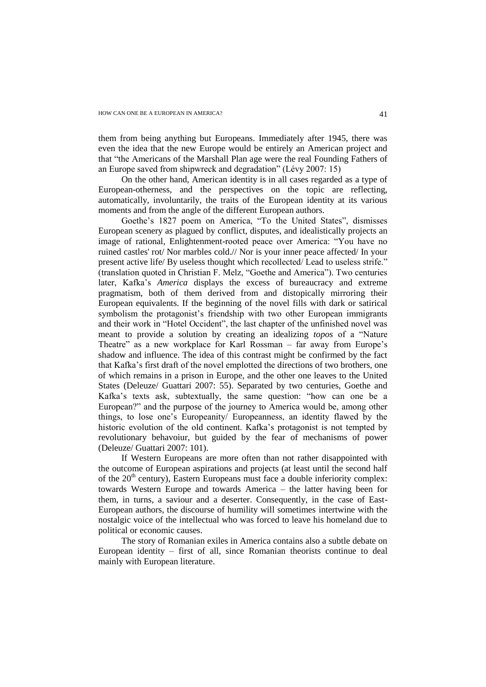them from being anything but Europeans. Immediately after 1945, there was even the idea that the new Europe would be entirely an American project and that "the Americans of the Marshall Plan age were the real Founding Fathers of an Europe saved from shipwreck and degradation" (Lévy 2007: 15)

On the other hand, American identity is in all cases regarded as a type of European-otherness, and the perspectives on the topic are reflecting, automatically, involuntarily, the traits of the European identity at its various moments and from the angle of the different European authors.

Goethe's 1827 poem on America, "To the United States", dismisses European scenery as plagued by conflict, disputes, and idealistically projects an image of rational, Enlightenment-rooted peace over America: "You have no ruined castles' rot/ Nor marbles cold.// Nor is your inner peace affected/ In your present active life/ By useless thought which recollected/ Lead to useless strife." (translation quoted in Christian F. Melz, "Goethe and America"). Two centuries later, Kafka"s *America* displays the excess of bureaucracy and extreme pragmatism, both of them derived from and distopically mirroring their European equivalents. If the beginning of the novel fills with dark or satirical symbolism the protagonist's friendship with two other European immigrants and their work in "Hotel Occident", the last chapter of the unfinished novel was meant to provide a solution by creating an idealizing *topos* of a "Nature Theatre" as a new workplace for Karl Rossman – far away from Europe's shadow and influence. The idea of this contrast might be confirmed by the fact that Kafka"s first draft of the novel emplotted the directions of two brothers, one of which remains in a prison in Europe, and the other one leaves to the United States (Deleuze/ Guattari 2007: 55). Separated by two centuries, Goethe and Kafka"s texts ask, subtextually, the same question: "how can one be a European?" and the purpose of the journey to America would be, among other things, to lose one"s Europeanity/ Europeanness, an identity flawed by the historic evolution of the old continent. Kafka's protagonist is not tempted by revolutionary behavoiur, but guided by the fear of mechanisms of power (Deleuze/ Guattari 2007: 101).

If Western Europeans are more often than not rather disappointed with the outcome of European aspirations and projects (at least until the second half of the  $20<sup>th</sup>$  century), Eastern Europeans must face a double inferiority complex: towards Western Europe and towards America – the latter having been for them, in turns, a saviour and a deserter. Consequently, in the case of East-European authors, the discourse of humility will sometimes intertwine with the nostalgic voice of the intellectual who was forced to leave his homeland due to political or economic causes.

The story of Romanian exiles in America contains also a subtle debate on European identity – first of all, since Romanian theorists continue to deal mainly with European literature.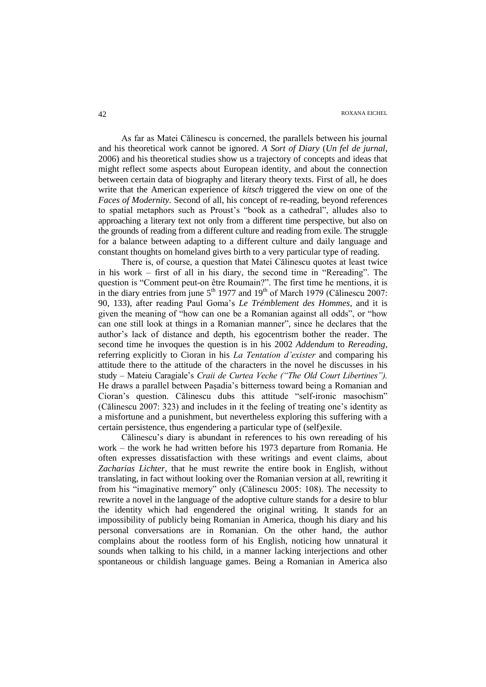As far as Matei Călinescu is concerned, the parallels between his journal and his theoretical work cannot be ignored. *A Sort of Diary* (*Un fel de jurnal*, 2006) and his theoretical studies show us a trajectory of concepts and ideas that might reflect some aspects about European identity, and about the connection between certain data of biography and literary theory texts. First of all, he does write that the American experience of *kitsch* triggered the view on one of the *Faces of Modernity.* Second of all, his concept of re-reading, beyond references to spatial metaphors such as Proust"s "book as a cathedral", alludes also to approaching a literary text not only from a different time perspective, but also on the grounds of reading from a different culture and reading from exile. The struggle for a balance between adapting to a different culture and daily language and constant thoughts on homeland gives birth to a very particular type of reading.

There is, of course, a question that Matei Călinescu quotes at least twice in his work – first of all in his diary, the second time in "Rereading". The question is "Comment peut-on être Roumain?". The first time he mentions, it is in the diary entries from june  $5<sup>th</sup>$  1977 and 19<sup>th</sup> of March 1979 (Călinescu 2007: 90, 133), after reading Paul Goma"s *Le Trémblement des Hommes*, and it is given the meaning of "how can one be a Romanian against all odds", or "how can one still look at things in a Romanian manner", since he declares that the author"s lack of distance and depth, his egocentrism bother the reader. The second time he invoques the question is in his 2002 *Addendum* to *Rereading*, referring explicitly to Cioran in his *La Tentation d"exister* and comparing his attitude there to the attitude of the characters in the novel he discusses in his study – Mateiu Caragiale"s *Craii de Curtea Veche ("The Old Court Libertines").* He draws a parallel between Paşadia"s bitterness toward being a Romanian and Cioran"s question. Călinescu dubs this attitude "self-ironic masochism" (Călinescu 2007: 323) and includes in it the feeling of treating one"s identity as a misfortune and a punishment, but nevertheless exploring this suffering with a certain persistence, thus engendering a particular type of (self)exile.

Călinescu"s diary is abundant in references to his own rereading of his work – the work he had written before his 1973 departure from Romania. He often expresses dissatisfaction with these writings and event claims, about *Zacharias Lichter,* that he must rewrite the entire book in English, without translating, in fact without looking over the Romanian version at all, rewriting it from his "imaginative memory" only (Călinescu 2005: 108). The necessity to rewrite a novel in the language of the adoptive culture stands for a desire to blur the identity which had engendered the original writing. It stands for an impossibility of publicly being Romanian in America, though his diary and his personal conversations are in Romanian. On the other hand, the author complains about the rootless form of his English, noticing how unnatural it sounds when talking to his child, in a manner lacking interjections and other spontaneous or childish language games. Being a Romanian in America also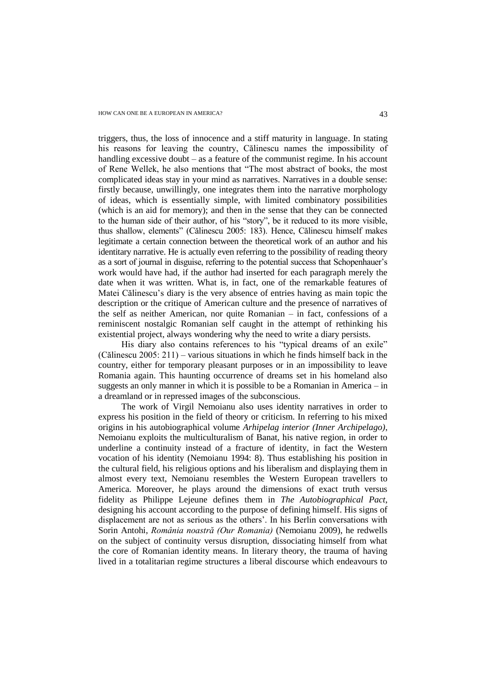triggers, thus, the loss of innocence and a stiff maturity in language. In stating his reasons for leaving the country, Călinescu names the impossibility of handling excessive doubt – as a feature of the communist regime. In his account of Rene Wellek, he also mentions that "The most abstract of books, the most complicated ideas stay in your mind as narratives. Narratives in a double sense: firstly because, unwillingly, one integrates them into the narrative morphology of ideas, which is essentially simple, with limited combinatory possibilities (which is an aid for memory); and then in the sense that they can be connected to the human side of their author, of his "story", be it reduced to its more visible, thus shallow, elements" (Călinescu 2005: 183). Hence, Călinescu himself makes legitimate a certain connection between the theoretical work of an author and his identitary narrative. He is actually even referring to the possibility of reading theory as a sort of journal in disguise, referring to the potential success that Schopenhauer's work would have had, if the author had inserted for each paragraph merely the date when it was written. What is, in fact, one of the remarkable features of Matei Călinescu"s diary is the very absence of entries having as main topic the description or the critique of American culture and the presence of narratives of the self as neither American, nor quite Romanian – in fact, confessions of a reminiscent nostalgic Romanian self caught in the attempt of rethinking his existential project, always wondering why the need to write a diary persists.

His diary also contains references to his "typical dreams of an exile" (Călinescu 2005: 211) – various situations in which he finds himself back in the country, either for temporary pleasant purposes or in an impossibility to leave Romania again. This haunting occurrence of dreams set in his homeland also suggests an only manner in which it is possible to be a Romanian in America – in a dreamland or in repressed images of the subconscious.

The work of Virgil Nemoianu also uses identity narratives in order to express his position in the field of theory or criticism. In referring to his mixed origins in his autobiographical volume *Arhipelag interior (Inner Archipelago)*, Nemoianu exploits the multiculturalism of Banat, his native region, in order to underline a continuity instead of a fracture of identity, in fact the Western vocation of his identity (Nemoianu 1994: 8). Thus establishing his position in the cultural field, his religious options and his liberalism and displaying them in almost every text, Nemoianu resembles the Western European travellers to America. Moreover, he plays around the dimensions of exact truth versus fidelity as Philippe Lejeune defines them in *The Autobiographical Pact*, designing his account according to the purpose of defining himself. His signs of displacement are not as serious as the others". In his Berlin conversations with Sorin Antohi, *România noastră (Our Romania)* (Nemoianu 2009), he redwells on the subject of continuity versus disruption, dissociating himself from what the core of Romanian identity means. In literary theory, the trauma of having lived in a totalitarian regime structures a liberal discourse which endeavours to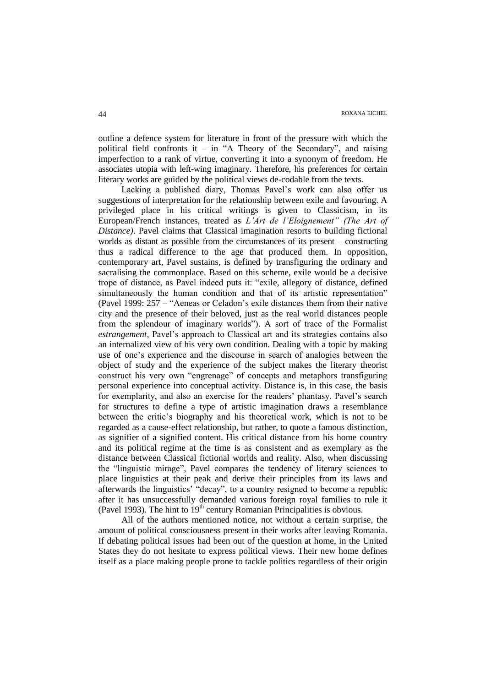outline a defence system for literature in front of the pressure with which the political field confronts it – in "A Theory of the Secondary", and raising imperfection to a rank of virtue, converting it into a synonym of freedom. He associates utopia with left-wing imaginary. Therefore, his preferences for certain literary works are guided by the political views de-codable from the texts.

Lacking a published diary, Thomas Pavel"s work can also offer us suggestions of interpretation for the relationship between exile and favouring. A privileged place in his critical writings is given to Classicism, in its European/French instances, treated as *L"Art de l"Eloignement" (The Art of Distance)*. Pavel claims that Classical imagination resorts to building fictional worlds as distant as possible from the circumstances of its present – constructing thus a radical difference to the age that produced them. In opposition, contemporary art, Pavel sustains, is defined by transfiguring the ordinary and sacralising the commonplace. Based on this scheme, exile would be a decisive trope of distance, as Pavel indeed puts it: "exile, allegory of distance, defined simultaneously the human condition and that of its artistic representation" (Pavel 1999: 257 – "Aeneas or Celadon"s exile distances them from their native city and the presence of their beloved, just as the real world distances people from the splendour of imaginary worlds"). A sort of trace of the Formalist *estrangement*, Pavel"s approach to Classical art and its strategies contains also an internalized view of his very own condition. Dealing with a topic by making use of one"s experience and the discourse in search of analogies between the object of study and the experience of the subject makes the literary theorist construct his very own "engrenage" of concepts and metaphors transfiguring personal experience into conceptual activity. Distance is, in this case, the basis for exemplarity, and also an exercise for the readers" phantasy. Pavel"s search for structures to define a type of artistic imagination draws a resemblance between the critic"s biography and his theoretical work, which is not to be regarded as a cause-effect relationship, but rather, to quote a famous distinction, as signifier of a signified content. His critical distance from his home country and its political regime at the time is as consistent and as exemplary as the distance between Classical fictional worlds and reality. Also, when discussing the "linguistic mirage", Pavel compares the tendency of literary sciences to place linguistics at their peak and derive their principles from its laws and afterwards the linguistics' "decay", to a country resigned to become a republic after it has unsuccessfully demanded various foreign royal families to rule it (Pavel 1993). The hint to  $19<sup>th</sup>$  century Romanian Principalities is obvious.

All of the authors mentioned notice, not without a certain surprise, the amount of political consciousness present in their works after leaving Romania. If debating political issues had been out of the question at home, in the United States they do not hesitate to express political views. Their new home defines itself as a place making people prone to tackle politics regardless of their origin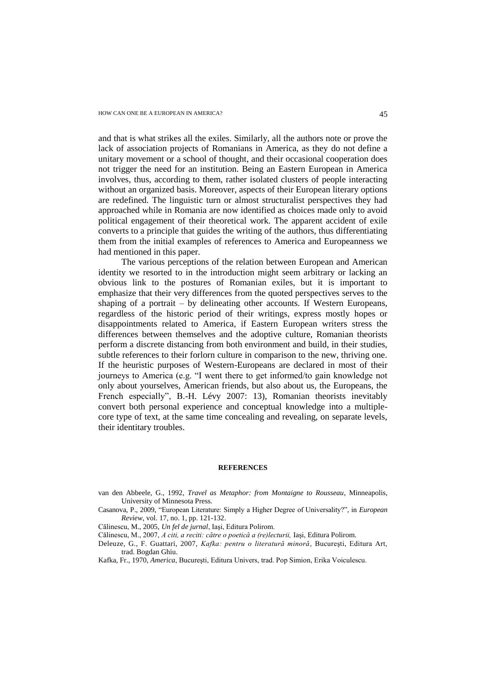and that is what strikes all the exiles. Similarly, all the authors note or prove the lack of association projects of Romanians in America, as they do not define a unitary movement or a school of thought, and their occasional cooperation does not trigger the need for an institution. Being an Eastern European in America involves, thus, according to them, rather isolated clusters of people interacting without an organized basis. Moreover, aspects of their European literary options are redefined. The linguistic turn or almost structuralist perspectives they had approached while in Romania are now identified as choices made only to avoid political engagement of their theoretical work. The apparent accident of exile converts to a principle that guides the writing of the authors, thus differentiating them from the initial examples of references to America and Europeanness we had mentioned in this paper.

The various perceptions of the relation between European and American identity we resorted to in the introduction might seem arbitrary or lacking an obvious link to the postures of Romanian exiles, but it is important to emphasize that their very differences from the quoted perspectives serves to the shaping of a portrait – by delineating other accounts. If Western Europeans, regardless of the historic period of their writings, express mostly hopes or disappointments related to America, if Eastern European writers stress the differences between themselves and the adoptive culture, Romanian theorists perform a discrete distancing from both environment and build, in their studies, subtle references to their forlorn culture in comparison to the new, thriving one. If the heuristic purposes of Western-Europeans are declared in most of their journeys to America (e.g. "I went there to get informed/to gain knowledge not only about yourselves, American friends, but also about us, the Europeans, the French especially", B.-H. Lévy 2007: 13), Romanian theorists inevitably convert both personal experience and conceptual knowledge into a multiplecore type of text, at the same time concealing and revealing, on separate levels, their identitary troubles.

## **REFERENCES**

- van den Abbeele, G., 1992, *Travel as Metaphor: from Montaigne to Rousseau*, Minneapolis, University of Minnesota Press.
- Casanova, P., 2009, "European Literature: Simply a Higher Degree of Universality?", in *European Review*, vol. 17, no. 1, pp. 121-132.
- Călinescu, M., 2005, *Un fel de jurnal*, Iaşi, Editura Polirom.
- Călinescu, M., 2007, *A citi, a reciti: către o poetică a (re)lecturii,* Iaşi, Editura Polirom.
- Deleuze, G., F. Guattari, 2007, *Kafka: pentru o literatură minoră*, Bucureşti, Editura Art, trad. Bogdan Ghiu.
- Kafka, Fr., 1970, *America*, Bucureşti, Editura Univers, trad. Pop Simion, Erika Voiculescu.